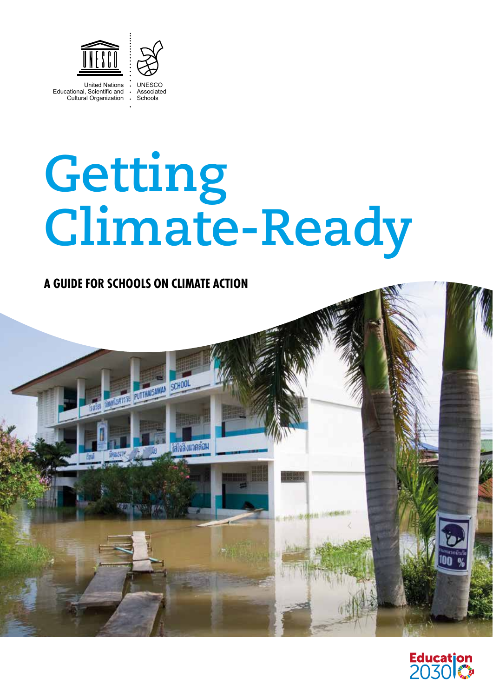

United Nations Educational, Scientific and Cultural Organization

**UNESCO** Associated Schools

# **Climate-Ready Getting**

# **A GUIDE FOR SCHOOLS ON CLIMATE ACTION**



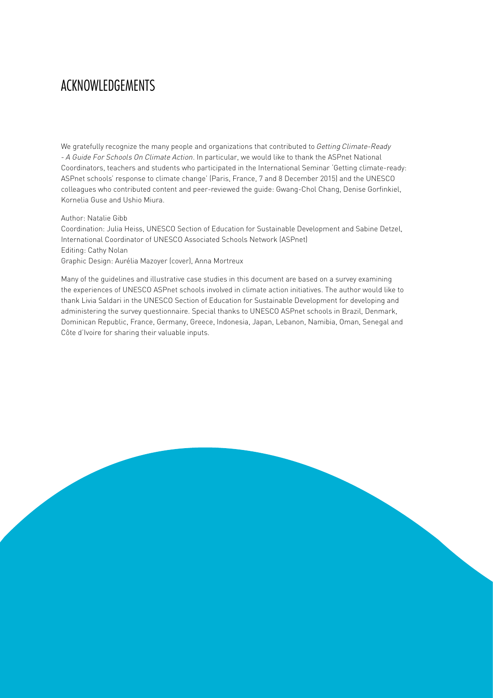# ACKNOWLEDGEMENTS

We gratefully recognize the many people and organizations that contributed to *Getting Climate-Ready - A Guide For Schools On Climate Action*. In particular, we would like to thank the ASPnet National Coordinators, teachers and students who participated in the International Seminar 'Getting climate-ready: ASPnet schools' response to climate change' (Paris, France, 7 and 8 December 2015) and the UNESCO colleagues who contributed content and peer-reviewed the guide: Gwang-Chol Chang, Denise Gorfinkiel, Kornelia Guse and Ushio Miura.

#### Author: Natalie Gibb

Coordination: Julia Heiss, UNESCO Section of Education for Sustainable Development and Sabine Detzel, International Coordinator of UNESCO Associated Schools Network (ASPnet) Editing: Cathy Nolan Graphic Design: Aurélia Mazoyer (cover), Anna Mortreux

Many of the guidelines and illustrative case studies in this document are based on a survey examining the experiences of UNESCO ASPnet schools involved in climate action initiatives. The author would like to thank Livia Saldari in the UNESCO Section of Education for Sustainable Development for developing and administering the survey questionnaire. Special thanks to UNESCO ASPnet schools in Brazil, Denmark, Dominican Republic, France, Germany, Greece, Indonesia, Japan, Lebanon, Namibia, Oman, Senegal and Côte d'Ivoire for sharing their valuable inputs.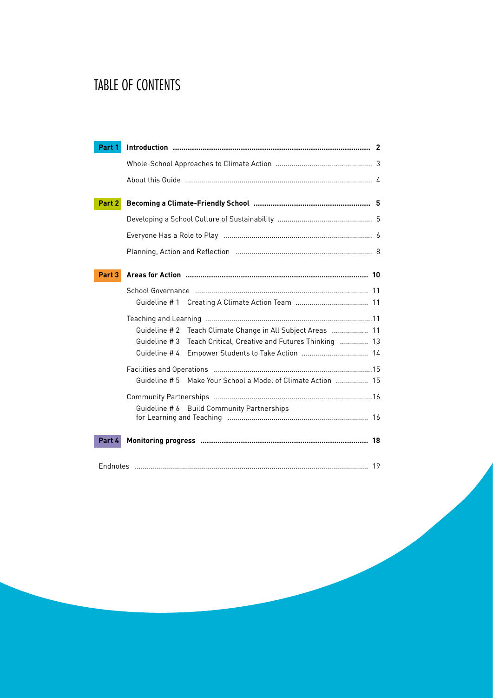# TABLE OF CONTENTS

| Part 1 |                                                                   |  |
|--------|-------------------------------------------------------------------|--|
|        |                                                                   |  |
|        |                                                                   |  |
|        |                                                                   |  |
| Part 2 |                                                                   |  |
|        |                                                                   |  |
|        |                                                                   |  |
|        |                                                                   |  |
| Part 3 |                                                                   |  |
|        |                                                                   |  |
|        |                                                                   |  |
|        |                                                                   |  |
|        | Guideline #2<br>Teach Climate Change in All Subject Areas  11     |  |
|        | Guideline #3<br>Teach Critical, Creative and Futures Thinking  13 |  |
|        | Guideline #4<br>Empower Students to Take Action  14               |  |
|        |                                                                   |  |
|        | Make Your School a Model of Climate Action  15<br>Guideline # 5   |  |
|        |                                                                   |  |
|        | Guideline # 6 Build Community Partnerships                        |  |
|        |                                                                   |  |
| Part 4 |                                                                   |  |
|        |                                                                   |  |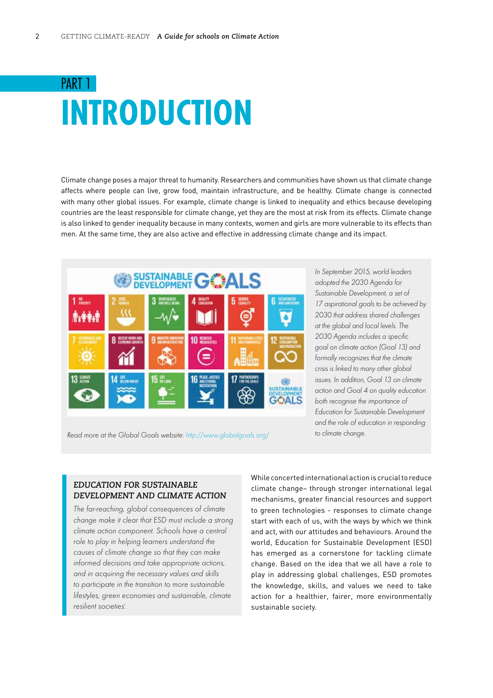# <span id="page-3-0"></span>PART 1 **INTRODUCTION**

Climate change poses a major threat to humanity. Researchers and communities have shown us that climate change affects where people can live, grow food, maintain infrastructure, and be healthy. Climate change is connected with many other global issues. For example, climate change is linked to inequality and ethics because developing countries are the least responsible for climate change, yet they are the most at risk from its effects. Climate change is also linked to gender inequality because in many contexts, women and girls are more vulnerable to its effects than men. At the same time, they are also active and effective in addressing climate change and its impact.



*In September 2015, world leaders adopted the 2030 Agenda for Sustainable Development, a set of 17 aspirational goals to be achieved by 2030 that address shared challenges at the global and local levels. The 2030 Agenda includes a specific goal on climate action (Goal 13) and formally recognizes that the climate crisis is linked to many other global issues. In addition, Goal 13 on climate action and Goal 4 on quality education both recognise the importance of Education for Sustainable Development and the role of education in responding to climate change.* 

*Read more at the Global Goals website: <http://www.globalgoals.org>/*

#### *EDUCATION FOR SUSTAINABLE DEVELOPMENT AND CLIMATE ACTION*

*The far-reaching, global consequences of climate change make it clear that ESD must include a strong climate action component. Schools have a central role to play in helping learners understand the causes of climate change so that they can make informed decisions and take appropriate actions, and in acquiring the necessary values and skills to participate in the transition to more sustainable lifestyles, green economies and sustainable, climate resilient societiesi .*

While concerted international action is crucial to reduce climate change– through stronger international legal mechanisms, greater financial resources and support to green technologies - responses to climate change start with each of us, with the ways by which we think and act, with our attitudes and behaviours. Around the world, Education for Sustainable Development (ESD) has emerged as a cornerstone for tackling climate change. Based on the idea that we all have a role to play in addressing global challenges, ESD promotes the knowledge, skills, and values we need to take action for a healthier, fairer, more environmentally sustainable society.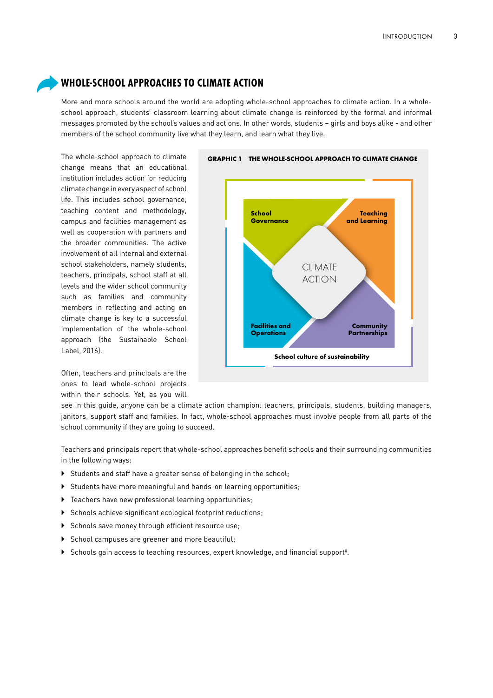### <span id="page-4-0"></span>**WHOLE-SCHOOL APPROACHES TO CLIMATE ACTION**

More and more schools around the world are adopting whole-school approaches to climate action. In a wholeschool approach, students' classroom learning about climate change is reinforced by the formal and informal messages promoted by the school's values and actions. In other words, students – girls and boys alike - and other members of the school community live what they learn, and learn what they live.

The whole-school approach to climate change means that an educational institution includes action for reducing climate change in every aspect of school life. This includes school governance, teaching content and methodology, campus and facilities management as well as cooperation with partners and the broader communities. The active involvement of all internal and external school stakeholders, namely students, teachers, principals, school staff at all levels and the wider school community such as families and community members in reflecting and acting on climate change is key to a successful implementation of the whole-school approach (the Sustainable School Label, 2016).

Often, teachers and principals are the ones to lead whole-school projects within their schools. Yet, as you will



see in this guide, anyone can be a climate action champion: teachers, principals, students, building managers, janitors, support staff and families. In fact, whole-school approaches must involve people from all parts of the school community if they are going to succeed.

Teachers and principals report that whole-school approaches benefit schools and their surrounding communities in the following ways:

- If Students and staff have a greater sense of belonging in the school;
- ` Students have more meaningful and hands-on learning opportunities;
- $\triangleright$  Teachers have new professional learning opportunities;
- $\triangleright$  Schools achieve significant ecological footprint reductions;
- $\triangleright$  Schools save money through efficient resource use;
- School campuses are greener and more beautiful;
- $\blacktriangleright$  Schools gain access to teaching resources, expert knowledge, and financial support".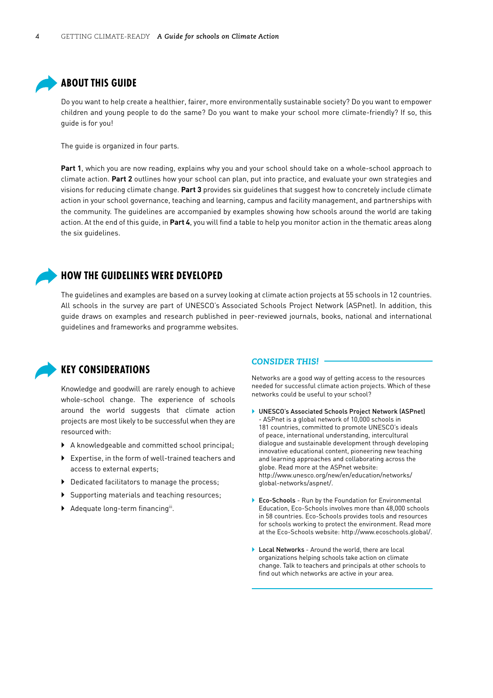#### <span id="page-5-0"></span>**ABOUT THIS GUIDE**

Do you want to help create a healthier, fairer, more environmentally sustainable society? Do you want to empower children and young people to do the same? Do you want to make your school more climate-friendly? If so, this guide is for you!

The guide is organized in four parts.

**Part 1**, which you are now reading, explains why you and your school should take on a whole-school approach to climate action. **Part 2** outlines how your school can plan, put into practice, and evaluate your own strategies and visions for reducing climate change. **Part 3** provides six guidelines that suggest how to concretely include climate action in your school governance, teaching and learning, campus and facility management, and partnerships with the community. The guidelines are accompanied by examples showing how schools around the world are taking action. At the end of this guide, in **Part 4**, you will find a table to help you monitor action in the thematic areas along the six guidelines.



#### **HOW THE GUIDELINES WERE DEVELOPED**

The guidelines and examples are based on a survey looking at climate action projects at 55 schools in 12 countries. All schools in the survey are part of UNESCO's Associated Schools Project Network (ASPnet). In addition, this guide draws on examples and research published in peer-reviewed journals, books, national and international guidelines and frameworks and programme websites.



#### **KEY CONSIDERATIONS**

Knowledge and goodwill are rarely enough to achieve whole-school change. The experience of schools around the world suggests that climate action projects are most likely to be successful when they are resourced with:

- $\triangleright$  A knowledgeable and committed school principal;
- $\blacktriangleright$  Expertise, in the form of well-trained teachers and access to external experts;
- $\blacktriangleright$  Dedicated facilitators to manage the process;
- $\triangleright$  Supporting materials and teaching resources;
- $\blacktriangleright$  Adequate long-term financingiii.

#### *CONSIDER THIS!*

Networks are a good way of getting access to the resources needed for successful climate action projects. Which of these networks could be useful to your school?

- ` UNESCO's Associated Schools Project Network (ASPnet) - ASPnet is a global network of 10,000 schools in 181 countries, committed to promote UNESCO's ideals of peace, international understanding, intercultural dialogue and sustainable development through developing innovative educational content, pioneering new teaching and learning approaches and collaborating across the globe. Read more at the ASPnet website: [http://www.unesco.org/new/en/education/networks/](http://www.unesco.org/new/en/education/networks/global-networks/aspnet) [global-networks/aspnet](http://www.unesco.org/new/en/education/networks/global-networks/aspnet)/.
- ▶ Eco-Schools Run by the Foundation for Environmental Education, Eco-Schools involves more than 48,000 schools in 58 countries. Eco-Schools provides tools and resources for schools working to protect the environment. Read more at the Eco-Schools website: <http://www.ecoschools.global>/.
- ▶ Local Networks Around the world, there are local organizations helping schools take action on climate change. Talk to teachers and principals at other schools to find out which networks are active in your area.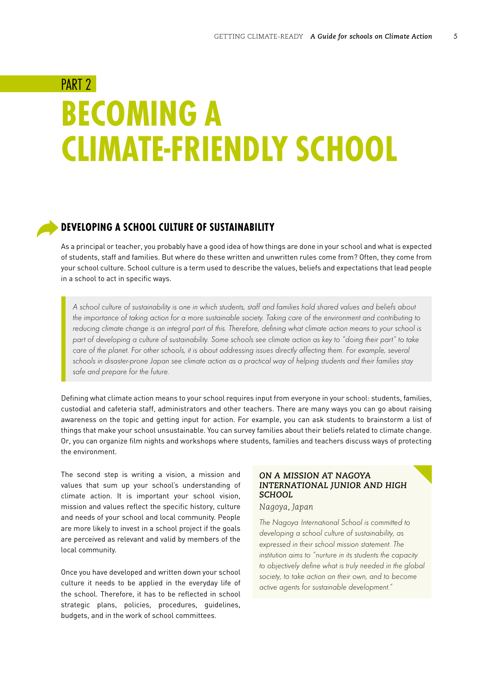# <span id="page-6-0"></span>PART<sub>2</sub> **BECOMING A CLIMATE-FRIENDLY SCHOOL**

#### **DEVELOPING A SCHOOL CULTURE OF SUSTAINABILITY**

As a principal or teacher, you probably have a good idea of how things are done in your school and what is expected of students, staff and families. But where do these written and unwritten rules come from? Often, they come from your school culture. School culture is a term used to describe the values, beliefs and expectations that lead people in a school to act in specific ways.

*A school culture of sustainability is one in which students, staff and families hold shared values and beliefs about*  the importance of taking action for a more sustainable society. Taking care of the environment and contributing to *reducing climate change is an integral part of this. Therefore, defining what climate action means to your school is part of developing a culture of sustainability. Some schools see climate action as key to "doing their part" to take care of the planet. For other schools, it is about addressing issues directly affecting them. For example, several schools in disaster-prone Japan see climate action as a practical way of helping students and their families stay safe and prepare for the future.* 

Defining what climate action means to your school requires input from everyone in your school: students, families, custodial and cafeteria staff, administrators and other teachers. There are many ways you can go about raising awareness on the topic and getting input for action. For example, you can ask students to brainstorm a list of things that make your school unsustainable. You can survey families about their beliefs related to climate change. Or, you can organize film nights and workshops where students, families and teachers discuss ways of protecting the environment.

The second step is writing a vision, a mission and values that sum up your school's understanding of climate action. It is important your school vision, mission and values reflect the specific history, culture and needs of your school and local community. People are more likely to invest in a school project if the goals are perceived as relevant and valid by members of the local community.

Once you have developed and written down your school culture it needs to be applied in the everyday life of the school. Therefore, it has to be reflected in school strategic plans, policies, procedures, guidelines, budgets, and in the work of school committees.

#### *ON A MISSION AT NAGOYA INTERNATIONAL JUNIOR AND HIGH SCHOOL*

#### *Nagoya, Japan*

*The Nagoya International School is committed to developing a school culture of sustainability, as expressed in their school mission statement. The institution aims to "nurture in its students the capacity to objectively define what is truly needed in the global society, to take action on their own, and to become active agents for sustainable development."*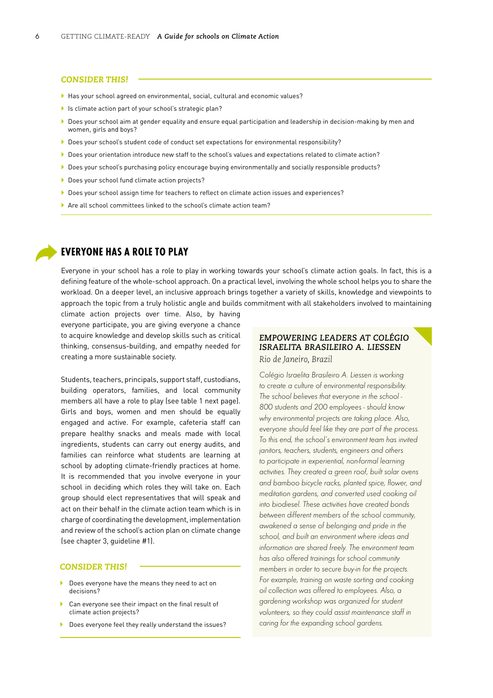#### <span id="page-7-0"></span>*CONSIDER THIS!*

- ` Has your school agreed on environmental, social, cultural and economic values?
- In Is climate action part of your school's strategic plan?
- ▶ Does your school aim at gender equality and ensure equal participation and leadership in decision-making by men and women, girls and boys?
- ` Does your school's student code of conduct set expectations for environmental responsibility?
- ` Does your orientation introduce new staff to the school's values and expectations related to climate action?
- ` Does your school's purchasing policy encourage buying environmentally and socially responsible products?
- ▶ Does your school fund climate action projects?
- ` Does your school assign time for teachers to reflect on climate action issues and experiences?
- ` Are all school committees linked to the school's climate action team?

#### **EVERYONE HAS A ROLE TO PLAY**

Everyone in your school has a role to play in working towards your school's climate action goals. In fact, this is a defining feature of the whole-school approach. On a practical level, involving the whole school helps you to share the workload. On a deeper level, an inclusive approach brings together a variety of skills, knowledge and viewpoints to approach the topic from a truly holistic angle and builds commitment with all stakeholders involved to maintaining

climate action projects over time. Also, by having everyone participate, you are giving everyone a chance to acquire knowledge and develop skills such as critical thinking, consensus-building, and empathy needed for creating a more sustainable society.

Students, teachers, principals, support staff, custodians, building operators, families, and local community members all have a role to play (see table 1 next page). Girls and boys, women and men should be equally engaged and active. For example, cafeteria staff can prepare healthy snacks and meals made with local ingredients, students can carry out energy audits, and families can reinforce what students are learning at school by adopting climate-friendly practices at home. It is recommended that you involve everyone in your school in deciding which roles they will take on. Each group should elect representatives that will speak and act on their behalf in the climate action team which is in charge of coordinating the development, implementation and review of the school's action plan on climate change (see chapter 3, guideline #1).

#### *CONSIDER THIS!*

- **Does everyone have the means they need to act on** decisions?
- Can everyone see their impact on the final result of climate action projects?
- **Does everyone feel they really understand the issues?**

#### *EMPOWERING LEADERS AT COLÉGIO ISRAELITA BRASILEIRO A. LIESSEN Rio de Janeiro, Brazil*

*Colégio Israelita Brasileiro A. Liessen is working to create a culture of environmental responsibility. The school believes that everyone in the school - 800 students and 200 employees - should know why environmental projects are taking place. Also, everyone should feel like they are part of the process. To this end, the school's environment team has invited janitors, teachers, students, engineers and others to participate in experiential, non-formal learning activities. They created a green roof, built solar ovens and bamboo bicycle racks, planted spice, flower, and meditation gardens, and converted used cooking oil into biodiesel. These activities have created bonds between different members of the school community, awakened a sense of belonging and pride in the school, and built an environment where ideas and information are shared freely. The environment team has also offered trainings for school community members in order to secure buy-in for the projects. For example, training on waste sorting and cooking oil collection was offered to employees. Also, a gardening workshop was organized for student volunteers, so they could assist maintenance staff in caring for the expanding school gardens.*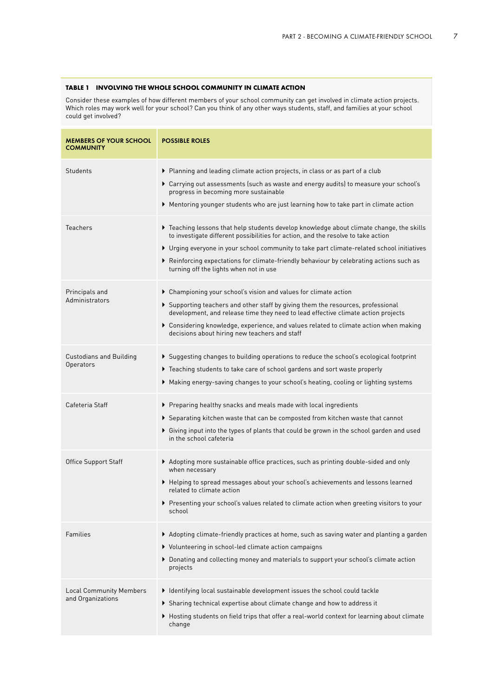#### **TABLE 1 INVOLVING THE WHOLE SCHOOL COMMUNITY IN CLIMATE ACTION**

Consider these examples of how different members of your school community can get involved in climate action projects. Which roles may work well for your school? Can you think of any other ways students, staff, and families at your school could get involved?

| <b>MEMBERS OF YOUR SCHOOL</b><br><b>COMMUNITY</b>   | <b>POSSIBLE ROLES</b>                                                                                                                                                                                                                                                                                                                                                                                             |  |  |  |
|-----------------------------------------------------|-------------------------------------------------------------------------------------------------------------------------------------------------------------------------------------------------------------------------------------------------------------------------------------------------------------------------------------------------------------------------------------------------------------------|--|--|--|
| Students                                            | ▶ Planning and leading climate action projects, in class or as part of a club<br>▶ Carrying out assessments (such as waste and energy audits) to measure your school's<br>progress in becoming more sustainable<br>▶ Mentoring younger students who are just learning how to take part in climate action                                                                                                          |  |  |  |
| Teachers                                            | ▶ Teaching lessons that help students develop knowledge about climate change, the skills<br>to investigate different possibilities for action, and the resolve to take action<br>▶ Urging everyone in your school community to take part climate-related school initiatives<br>▶ Reinforcing expectations for climate-friendly behaviour by celebrating actions such as<br>turning off the lights when not in use |  |  |  |
| Principals and<br>Administrators                    | ▶ Championing your school's vision and values for climate action<br>▶ Supporting teachers and other staff by giving them the resources, professional<br>development, and release time they need to lead effective climate action projects<br>▶ Considering knowledge, experience, and values related to climate action when making<br>decisions about hiring new teachers and staff                               |  |  |  |
| <b>Custodians and Building</b><br>Operators         | ▶ Suggesting changes to building operations to reduce the school's ecological footprint<br>▶ Teaching students to take care of school gardens and sort waste properly<br>▶ Making energy-saving changes to your school's heating, cooling or lighting systems                                                                                                                                                     |  |  |  |
| Cafeteria Staff                                     | ▶ Preparing healthy snacks and meals made with local ingredients<br>▶ Separating kitchen waste that can be composted from kitchen waste that cannot<br>▶ Giving input into the types of plants that could be grown in the school garden and used<br>in the school cafeteria                                                                                                                                       |  |  |  |
| <b>Office Support Staff</b>                         | Adopting more sustainable office practices, such as printing double-sided and only<br>when necessary<br>▶ Helping to spread messages about your school's achievements and lessons learned<br>related to climate action<br>▶ Presenting your school's values related to climate action when greeting visitors to your<br>school                                                                                    |  |  |  |
| Families                                            | ▶ Adopting climate-friendly practices at home, such as saving water and planting a garden<br>▶ Volunteering in school-led climate action campaigns<br>▶ Donating and collecting money and materials to support your school's climate action<br>projects                                                                                                                                                           |  |  |  |
| <b>Local Community Members</b><br>and Organizations | Identifying local sustainable development issues the school could tackle<br>Sharing technical expertise about climate change and how to address it<br>▶ Hosting students on field trips that offer a real-world context for learning about climate<br>change                                                                                                                                                      |  |  |  |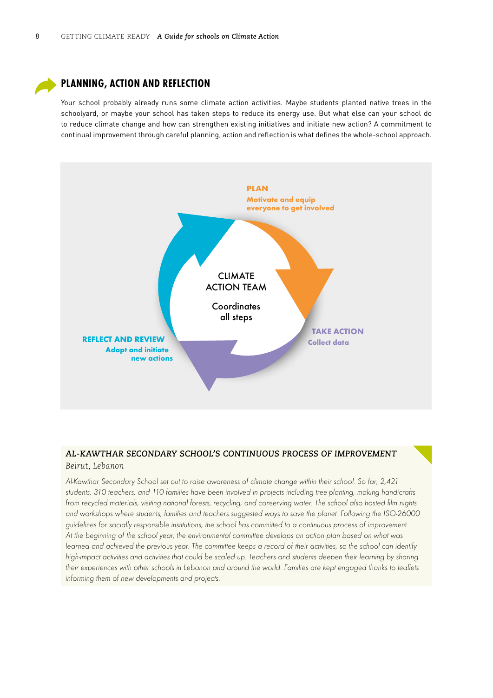<span id="page-9-0"></span>

#### **PLANNING, ACTION AND REFLECTION**

Your school probably already runs some climate action activities. Maybe students planted native trees in the schoolyard, or maybe your school has taken steps to reduce its energy use. But what else can your school do to reduce climate change and how can strengthen existing initiatives and initiate new action? A commitment to continual improvement through careful planning, action and reflection is what defines the whole-school approach.



#### *AL-KAWTHAR SECONDARY SCHOOL'S CONTINUOUS PROCESS OF IMPROVEMENT Beirut, Lebanon*

*Al-Kawthar Secondary School set out to raise awareness of climate change within their school. So far, 2,421 students, 310 teachers, and 110 families have been involved in projects including tree-planting, making handicrafts from recycled materials, visiting national forests, recycling, and conserving water. The school also hosted film nights and workshops where students, families and teachers suggested ways to save the planet. Following the ISO-26000 guidelines for socially responsible institutions, the school has committed to a continuous process of improvement. At the beginning of the school year, the environmental committee develops an action plan based on what was learned and achieved the previous year. The committee keeps a record of their activities, so the school can identify high-impact activities and activities that could be scaled up. Teachers and students deepen their learning by sharing their experiences with other schools in Lebanon and around the world. Families are kept engaged thanks to leaflets informing them of new developments and projects.*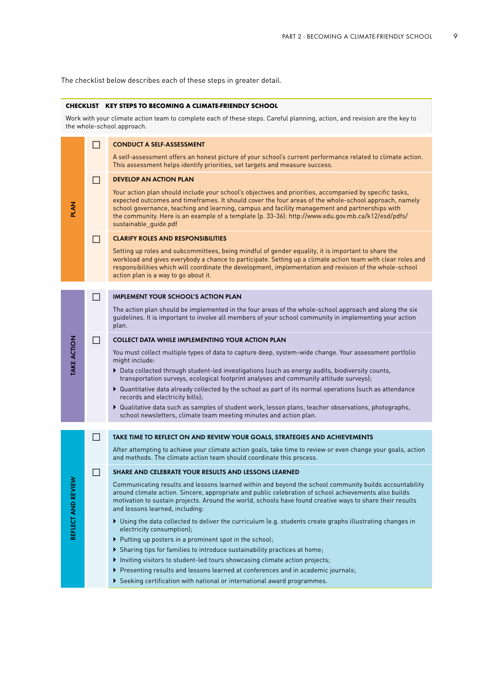The checklist below describes each of these steps in greater detail.

#### **CHECKLIST KEY STEPS TO BECOMING A CLIMATE-FRIENDLY SCHOOL**

Work with your climate action team to complete each of these steps. Careful planning, action, and revision are the key to the whole-school approach.

|                    | П              | <b>CONDUCT A SELF-ASSESSMENT</b>                                                                                                                                                                                                                                                                                                                                                                                                                  |  |  |  |  |  |
|--------------------|----------------|---------------------------------------------------------------------------------------------------------------------------------------------------------------------------------------------------------------------------------------------------------------------------------------------------------------------------------------------------------------------------------------------------------------------------------------------------|--|--|--|--|--|
|                    |                | A self-assessment offers an honest picture of your school's current performance related to climate action.<br>This assessment helps identify priorities, set targets and measure success.                                                                                                                                                                                                                                                         |  |  |  |  |  |
|                    | □              | <b>DEVELOP AN ACTION PLAN</b>                                                                                                                                                                                                                                                                                                                                                                                                                     |  |  |  |  |  |
| <b>PLAN</b>        |                | Your action plan should include your school's objectives and priorities, accompanied by specific tasks,<br>expected outcomes and timeframes. It should cover the four areas of the whole-school approach, namely<br>school governance, teaching and learning, campus and facility management and partnerships with<br>the community. Here is an example of a template (p. 33-36): http://www.edu.gov.mb.ca/k12/esd/pdfs/<br>sustainable_guide.pdf |  |  |  |  |  |
|                    | <b>Tara</b>    | <b>CLARIFY ROLES AND RESPONSIBILITIES</b>                                                                                                                                                                                                                                                                                                                                                                                                         |  |  |  |  |  |
|                    |                | Setting up roles and subcommittees, being mindful of gender equality, it is important to share the<br>workload and gives everybody a chance to participate. Setting up a climate action team with clear roles and<br>responsibilities which will coordinate the development, implementation and revision of the whole-school<br>action plan is a way to go about it.                                                                              |  |  |  |  |  |
|                    |                |                                                                                                                                                                                                                                                                                                                                                                                                                                                   |  |  |  |  |  |
|                    | $\Box$         | <b>IMPLEMENT YOUR SCHOOL'S ACTION PLAN</b>                                                                                                                                                                                                                                                                                                                                                                                                        |  |  |  |  |  |
|                    |                | The action plan should be implemented in the four areas of the whole-school approach and along the six<br>guidelines. It is important to involve all members of your school community in implementing your action<br>plan.                                                                                                                                                                                                                        |  |  |  |  |  |
|                    | П              | <b>COLLECT DATA WHILE IMPLEMENTING YOUR ACTION PLAN</b>                                                                                                                                                                                                                                                                                                                                                                                           |  |  |  |  |  |
| <b>TAKE ACTION</b> |                | You must collect multiple types of data to capture deep, system-wide change. Your assessment portfolio<br>might include:                                                                                                                                                                                                                                                                                                                          |  |  |  |  |  |
|                    |                | Data collected through student-led investigations (such as energy audits, biodiversity counts,<br>transportation surveys, ecological footprint analyses and community attitude surveys);                                                                                                                                                                                                                                                          |  |  |  |  |  |
|                    |                | ▶ Quantitative data already collected by the school as part of its normal operations (such as attendance<br>records and electricity bills);                                                                                                                                                                                                                                                                                                       |  |  |  |  |  |
|                    |                | ▶ Qualitative data such as samples of student work, lesson plans, teacher observations, photographs,<br>school newsletters, climate team meeting minutes and action plan.                                                                                                                                                                                                                                                                         |  |  |  |  |  |
|                    |                |                                                                                                                                                                                                                                                                                                                                                                                                                                                   |  |  |  |  |  |
|                    | $\blacksquare$ | TAKE TIME TO REFLECT ON AND REVIEW YOUR GOALS, STRATEGIES AND ACHIEVEMENTS                                                                                                                                                                                                                                                                                                                                                                        |  |  |  |  |  |
|                    |                | After attempting to achieve your climate action goals, take time to review or even change your goals, action<br>and methods. The climate action team should coordinate this process.                                                                                                                                                                                                                                                              |  |  |  |  |  |
|                    | П              | SHARE AND CELEBRATE YOUR RESULTS AND LESSONS LEARNED                                                                                                                                                                                                                                                                                                                                                                                              |  |  |  |  |  |
| ND REVIEW          |                | Communicating results and lessons learned within and beyond the school community builds accountability<br>around climate action. Sincere, appropriate and public celebration of school achievements also builds<br>motivation to sustain projects. Around the world, schools have found creative ways to share their results<br>and lessons learned, including:                                                                                   |  |  |  |  |  |
| REFLECT A          |                | ▶ Using the data collected to deliver the curriculum (e.g. students create graphs illustrating changes in<br>electricity consumption);                                                                                                                                                                                                                                                                                                            |  |  |  |  |  |
|                    |                | ▶ Putting up posters in a prominent spot in the school;                                                                                                                                                                                                                                                                                                                                                                                           |  |  |  |  |  |
|                    |                |                                                                                                                                                                                                                                                                                                                                                                                                                                                   |  |  |  |  |  |
|                    |                | ▶ Sharing tips for families to introduce sustainability practices at home;                                                                                                                                                                                                                                                                                                                                                                        |  |  |  |  |  |
|                    |                | Inviting visitors to student-led tours showcasing climate action projects;                                                                                                                                                                                                                                                                                                                                                                        |  |  |  |  |  |
|                    |                | ▶ Presenting results and lessons learned at conferences and in academic journals;<br>Seeking certification with national or international award programmes.                                                                                                                                                                                                                                                                                       |  |  |  |  |  |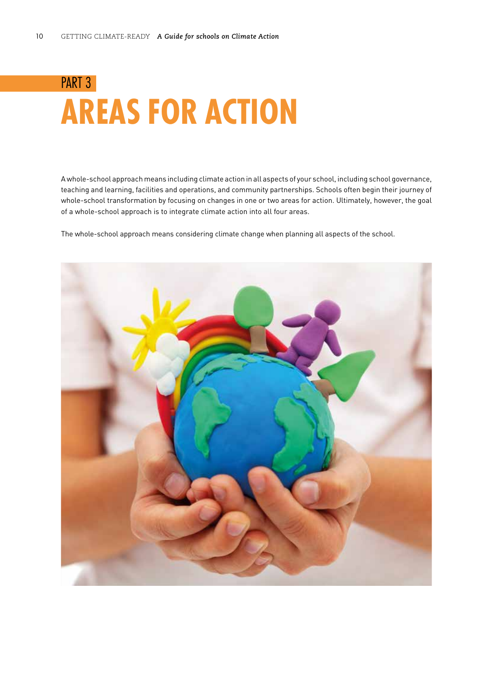# <span id="page-11-0"></span>PART 3 **AREAS FOR ACTION**

A whole-school approach means including climate action in all aspects of your school, including school governance, teaching and learning, facilities and operations, and community partnerships. Schools often begin their journey of whole-school transformation by focusing on changes in one or two areas for action. Ultimately, however, the goal of a whole-school approach is to integrate climate action into all four areas.

The whole-school approach means considering climate change when planning all aspects of the school.

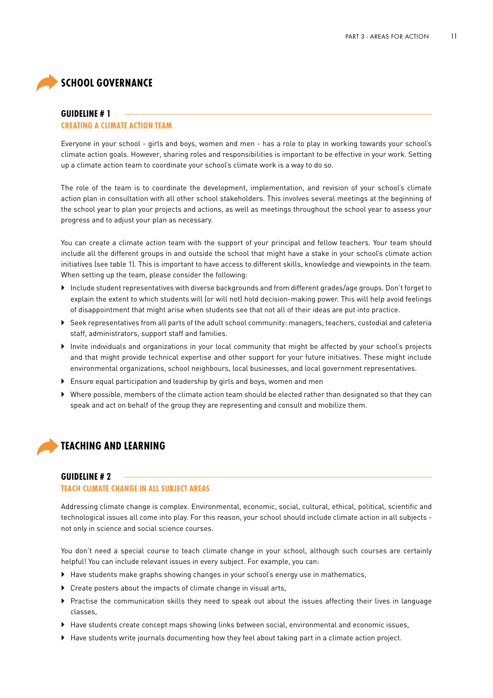### <span id="page-12-0"></span>**SCHOOL GOVERNANCE**

#### **GUIDELINE # 1**

#### **CREATING A CLIMATE ACTION TEAM**

Everyone in your school - girls and boys, women and men - has a role to play in working towards your school's climate action goals. However, sharing roles and responsibilities is important to be effective in your work. Setting up a climate action team to coordinate your school's climate work is a way to do so.

The role of the team is to coordinate the development, implementation, and revision of your school's climate action plan in consultation with all other school stakeholders. This involves several meetings at the beginning of the school year to plan your projects and actions, as well as meetings throughout the school year to assess your progress and to adjust your plan as necessary.

You can create a climate action team with the support of your principal and fellow teachers. Your team should include all the different groups in and outside the school that might have a stake in your school's climate action initiatives (see table 1). This is important to have access to different skills, knowledge and viewpoints in the team. When setting up the team, please consider the following:

- ` Include student representatives with diverse backgrounds and from different grades/age groups. Don't forget to explain the extent to which students will (or will not) hold decision-making power. This will help avoid feelings of disappointment that might arise when students see that not all of their ideas are put into practice.
- $\triangleright$  Seek representatives from all parts of the adult school community: managers, teachers, custodial and cafeteria staff, administrators, support staff and families.
- ` Invite individuals and organizations in your local community that might be affected by your school's projects and that might provide technical expertise and other support for your future initiatives. These might include environmental organizations, school neighbours, local businesses, and local government representatives.
- **Ensure equal participation and leadership by girls and boys, women and men**
- ` Where possible, members of the climate action team should be elected rather than designated so that they can speak and act on behalf of the group they are representing and consult and mobilize them.



#### **GUIDELINE # 2**

#### **TEACH CLIMATE CHANGE IN ALL SUBJECT AREAS**

Addressing climate change is complex. Environmental, economic, social, cultural, ethical, political, scientific and technological issues all come into play. For this reason, your school should include climate action in all subjects not only in science and social science courses.

You don't need a special course to teach climate change in your school, although such courses are certainly helpful! You can include relevant issues in every subject. For example, you can:

- $\blacktriangleright$  Have students make graphs showing changes in your school's energy use in mathematics,
- $\triangleright$  Create posters about the impacts of climate change in visual arts,
- ` Practise the communication skills they need to speak out about the issues affecting their lives in language classes,
- ` Have students create concept maps showing links between social, environmental and economic issues,
- ` Have students write journals documenting how they feel about taking part in a climate action project.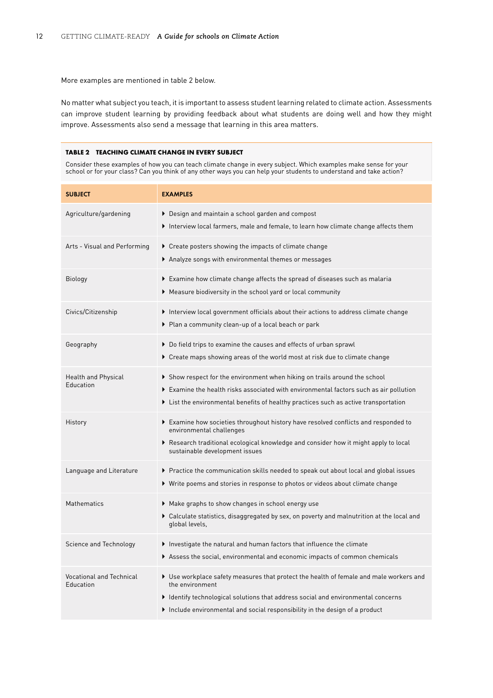More examples are mentioned in table 2 below.

No matter what subject you teach, it is important to assess student learning related to climate action. Assessments can improve student learning by providing feedback about what students are doing well and how they might improve. Assessments also send a message that learning in this area matters.

#### **TABLE 2 TEACHING CLIMATE CHANGE IN EVERY SUBJECT**

Consider these examples of how you can teach climate change in every subject. Which examples make sense for your school or for your class? Can you think of any other ways you can help your students to understand and take action?

| <b>SUBJECT</b>                               | <b>EXAMPLES</b>                                                                                                                                                                                                                                                                                                                            |  |  |  |
|----------------------------------------------|--------------------------------------------------------------------------------------------------------------------------------------------------------------------------------------------------------------------------------------------------------------------------------------------------------------------------------------------|--|--|--|
| Agriculture/gardening                        | ▶ Design and maintain a school garden and compost<br>Interview local farmers, male and female, to learn how climate change affects them                                                                                                                                                                                                    |  |  |  |
| Arts - Visual and Performing                 | $\blacktriangleright$ Create posters showing the impacts of climate change<br>$\blacktriangleright$ Analyze songs with environmental themes or messages                                                                                                                                                                                    |  |  |  |
| Biology                                      | Examine how climate change affects the spread of diseases such as malaria<br>$\blacktriangleright$ Measure biodiversity in the school yard or local community                                                                                                                                                                              |  |  |  |
| Civics/Citizenship                           | $\blacktriangleright$ Interview local government officials about their actions to address climate change<br>▶ Plan a community clean-up of a local beach or park                                                                                                                                                                           |  |  |  |
| Geography                                    | ▶ Do field trips to examine the causes and effects of urban sprawl<br>▶ Create maps showing areas of the world most at risk due to climate change                                                                                                                                                                                          |  |  |  |
| <b>Health and Physical</b><br>Education      | $\blacktriangleright$ Show respect for the environment when hiking on trails around the school<br>$\blacktriangleright$ Examine the health risks associated with environmental factors such as air pollution<br>$\blacktriangleright$ List the environmental benefits of healthy practices such as active transportation                   |  |  |  |
| History                                      | $\blacktriangleright$ Examine how societies throughout history have resolved conflicts and responded to<br>environmental challenges<br>$\blacktriangleright$ Research traditional ecological knowledge and consider how it might apply to local<br>sustainable development issues                                                          |  |  |  |
| Language and Literature                      | $\blacktriangleright$ Practice the communication skills needed to speak out about local and global issues<br>$\blacktriangleright$ Write poems and stories in response to photos or videos about climate change                                                                                                                            |  |  |  |
| Mathematics                                  | $\blacktriangleright$ Make graphs to show changes in school energy use<br>$\blacktriangleright$ Calculate statistics, disaggregated by sex, on poverty and malnutrition at the local and<br>global levels,                                                                                                                                 |  |  |  |
| Science and Technology                       | $\blacktriangleright$ Investigate the natural and human factors that influence the climate<br>$\blacktriangleright$ Assess the social, environmental and economic impacts of common chemicals                                                                                                                                              |  |  |  |
| <b>Vocational and Technical</b><br>Education | $\blacktriangleright$ Use workplace safety measures that protect the health of female and male workers and<br>the environment<br>$\blacktriangleright$ Identify technological solutions that address social and environmental concerns<br>$\blacktriangleright$ Include environmental and social responsibility in the design of a product |  |  |  |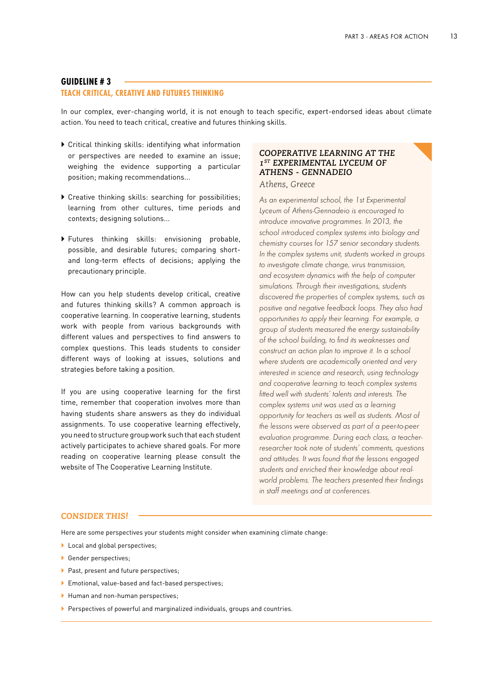#### <span id="page-14-0"></span>**GUIDELINE # 3**

#### **TEACH CRITICAL, CREATIVE AND FUTURES THINKING**

In our complex, ever-changing world, it is not enough to teach specific, expert-endorsed ideas about climate action. You need to teach critical, creative and futures thinking skills.

- $\triangleright$  Critical thinking skills: identifying what information or perspectives are needed to examine an issue; weighing the evidence supporting a particular position; making recommendations...
- ` Creative thinking skills: searching for possibilities; learning from other cultures, time periods and contexts; designing solutions...
- ` Futures thinking skills: envisioning probable, possible, and desirable futures; comparing shortand long-term effects of decisions; applying the precautionary principle.

How can you help students develop critical, creative and futures thinking skills? A common approach is cooperative learning. In cooperative learning, students work with people from various backgrounds with different values and perspectives to find answers to complex questions. This leads students to consider different ways of looking at issues, solutions and strategies before taking a position.

If you are using cooperative learning for the first time, remember that cooperation involves more than having students share answers as they do individual assignments. To use cooperative learning effectively, you need to structure group work such that each student actively participates to achieve shared goals. For more reading on cooperative learning please consult the website of The Cooperative Learning Institute.

#### *COOPERATIVE LEARNING AT THE 1ST EXPERIMENTAL LYCEUM OF ATHENS - GENNADEIO Athens, Greece*

*As an experimental school, the 1st Experimental Lyceum of Athens-Gennadeio is encouraged to introduce innovative programmes. In 2013, the school introduced complex systems into biology and chemistry courses for 157 senior secondary students. In the complex systems unit, students worked in groups to investigate climate change, virus transmission, and ecosystem dynamics with the help of computer simulations. Through their investigations, students discovered the properties of complex systems, such as positive and negative feedback loops. They also had opportunities to apply their learning. For example, a group of students measured the energy sustainability of the school building, to find its weaknesses and construct an action plan to improve it. In a school where students are academically oriented and very interested in science and research, using technology and cooperative learning to teach complex systems fitted well with students' talents and interests. The complex systems unit was used as a learning opportunity for teachers as well as students. Most of the lessons were observed as part of a peer-to-peer evaluation programme. During each class, a teacherresearcher took note of students' comments, questions and attitudes. It was found that the lessons engaged students and enriched their knowledge about realworld problems. The teachers presented their findings in staff meetings and at conferences.*

#### *CONSIDER THIS!*

Here are some perspectives your students might consider when examining climate change:

- $\blacktriangleright$  Local and global perspectives;
- ` Gender perspectives;
- **Past, present and future perspectives;**
- ` Emotional, value-based and fact-based perspectives;
- I Human and non-human perspectives;
- Perspectives of powerful and marginalized individuals, groups and countries.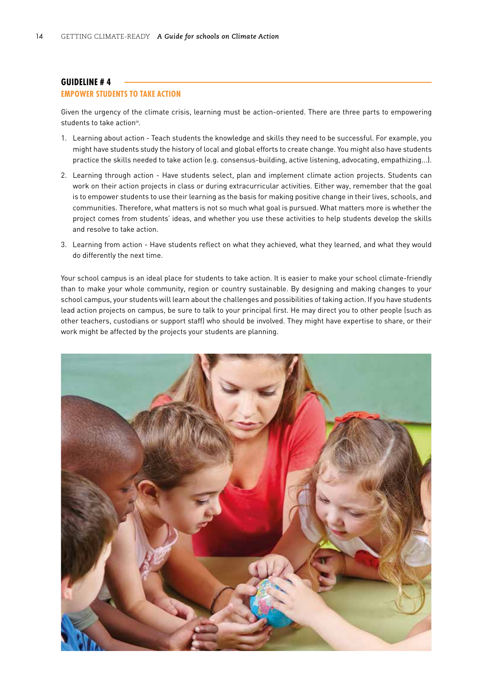#### <span id="page-15-0"></span>**GUIDELINE # 4**

#### **EMPOWER STUDENTS TO TAKE ACTION**

Given the urgency of the climate crisis, learning must be action-oriented. There are three parts to empowering students to take actioniv.

- 1. Learning about action Teach students the knowledge and skills they need to be successful. For example, you might have students study the history of local and global efforts to create change. You might also have students practice the skills needed to take action (e.g. consensus-building, active listening, advocating, empathizing...).
- 2. Learning through action Have students select, plan and implement climate action projects. Students can work on their action projects in class or during extracurricular activities. Either way, remember that the goal is to empower students to use their learning as the basis for making positive change in their lives, schools, and communities. Therefore, what matters is not so much what goal is pursued. What matters more is whether the project comes from students' ideas, and whether you use these activities to help students develop the skills and resolve to take action.
- 3. Learning from action Have students reflect on what they achieved, what they learned, and what they would do differently the next time.

Your school campus is an ideal place for students to take action. It is easier to make your school climate-friendly than to make your whole community, region or country sustainable. By designing and making changes to your school campus, your students will learn about the challenges and possibilities of taking action. If you have students lead action projects on campus, be sure to talk to your principal first. He may direct you to other people (such as other teachers, custodians or support staff) who should be involved. They might have expertise to share, or their work might be affected by the projects your students are planning.

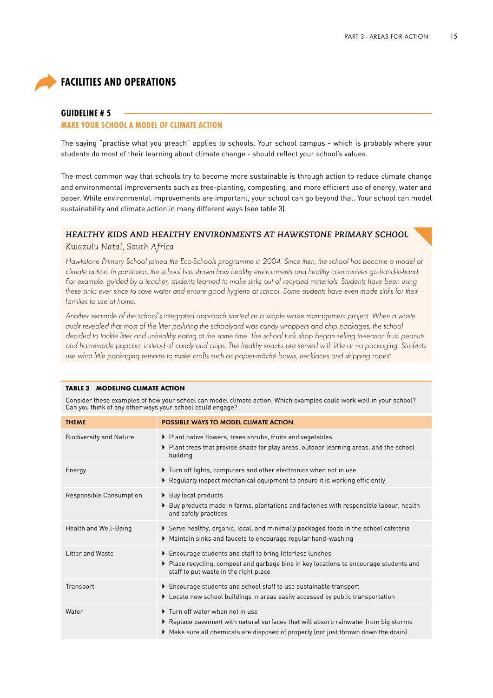### <span id="page-16-0"></span>**FACILITIES AND OPERATIONS**

#### **GUIDELINE # 5**

#### **MAKE YOUR SCHOOL A MODEL OF CLIMATE ACTION**

The saying "practise what you preach" applies to schools. Your school campus - which is probably where your students do most of their learning about climate change - should reflect your school's values.

The most common way that schools try to become more sustainable is through action to reduce climate change and environmental improvements such as tree-planting, composting, and more efficient use of energy, water and paper. While environmental improvements are important, your school can go beyond that. Your school can model sustainability and climate action in many different ways (see table 3).

#### *HEALTHY KIDS AND HEALTHY ENVIRONMENTS AT HAWKSTONE PRIMARY SCHOOL*

*Kwazulu Natal, South Africa*

*Hawkstone Primary School joined the Eco-Schools programme in 2004. Since then, the school has become a model of climate action. In particular, the school has shown how healthy environments and healthy communities go hand-in-hand. For example, guided by a teacher, students learned to make sinks out of recycled materials. Students have been using*  these sinks ever since to save water and ensure good hygiene at school. Some students have even made sinks for their *families to use at home.*

*Another example of the school's integrated approach started as a simple waste management project. When a waste audit revealed that most of the litter polluting the schoolyard was candy wrappers and chip packages, the school decided to tackle litter and unhealthy eating at the same time. The school tuck shop began selling in-season fruit, peanuts and homemade popcorn instead of candy and chips. The healthy snacks are served with little or no packaging. Students use what little packaging remains to make crafts such as papier-mâché bowls, necklaces and skipping ropesv .*

| IADLE 3 MUDELING CLIMATE ACTION                                                                                                                                                  |                                                                                                                                                                                                              |  |  |  |  |  |
|----------------------------------------------------------------------------------------------------------------------------------------------------------------------------------|--------------------------------------------------------------------------------------------------------------------------------------------------------------------------------------------------------------|--|--|--|--|--|
| Consider these examples of how your school can model climate action. Which examples could work well in your school?<br>Can you think of any other ways your school could engage? |                                                                                                                                                                                                              |  |  |  |  |  |
| <b>THEME</b>                                                                                                                                                                     | <b>POSSIBLE WAYS TO MODEL CLIMATE ACTION</b>                                                                                                                                                                 |  |  |  |  |  |
| <b>Biodiversity and Nature</b>                                                                                                                                                   | ▶ Plant native flowers, trees shrubs, fruits and vegetables<br>▶ Plant trees that provide shade for play areas, outdoor learning areas, and the school<br>building                                           |  |  |  |  |  |
| Energy                                                                                                                                                                           | Turn off lights, computers and other electronics when not in use<br>▶ Regularly inspect mechanical equipment to ensure it is working efficiently                                                             |  |  |  |  |  |
| Responsible Consumption                                                                                                                                                          | ▶ Buy local products<br>▶ Buy products made in farms, plantations and factories with responsible labour, health<br>and safety practices                                                                      |  |  |  |  |  |
| Health and Well-Being                                                                                                                                                            | Serve healthy, organic, local, and minimally packaged foods in the school cafeteria<br>▶ Maintain sinks and faucets to encourage regular hand-washing                                                        |  |  |  |  |  |
| Litter and Waste                                                                                                                                                                 | Encourage students and staff to bring litterless lunches<br>▶ Place recycling, compost and garbage bins in key locations to encourage students and<br>staff to put waste in the right place                  |  |  |  |  |  |
| Transport                                                                                                                                                                        | Encourage students and school staff to use sustainable transport<br>▶ Locate new school buildings in areas easily accessed by public transportation                                                          |  |  |  |  |  |
| Water                                                                                                                                                                            | Turn off water when not in use<br>▶ Replace pavement with natural surfaces that will absorb rainwater from big storms<br>▶ Make sure all chemicals are disposed of properly (not just thrown down the drain) |  |  |  |  |  |
|                                                                                                                                                                                  |                                                                                                                                                                                                              |  |  |  |  |  |

#### **TABLE 3 MODELING CLIMATE ACTION**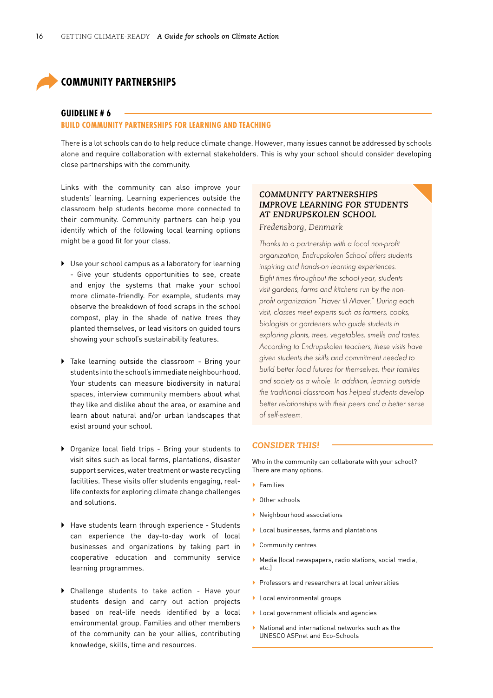### <span id="page-17-0"></span>**COMMUNITY PARTNERSHIPS**

#### **GUIDELINE # 6**

#### **BUILD COMMUNITY PARTNERSHIPS FOR LEARNING AND TEACHING**

There is a lot schools can do to help reduce climate change. However, many issues cannot be addressed by schools alone and require collaboration with external stakeholders. This is why your school should consider developing close partnerships with the community.

Links with the community can also improve your students' learning. Learning experiences outside the classroom help students become more connected to their community. Community partners can help you identify which of the following local learning options might be a good fit for your class.

- $\triangleright$  Use your school campus as a laboratory for learning - Give your students opportunities to see, create and enjoy the systems that make your school more climate-friendly. For example, students may observe the breakdown of food scraps in the school compost, play in the shade of native trees they planted themselves, or lead visitors on guided tours showing your school's sustainability features.
- Take learning outside the classroom Bring your students into the school's immediate neighbourhood. Your students can measure biodiversity in natural spaces, interview community members about what they like and dislike about the area, or examine and learn about natural and/or urban landscapes that exist around your school.
- ` Organize local field trips Bring your students to visit sites such as local farms, plantations, disaster support services, water treatment or waste recycling facilities. These visits offer students engaging, reallife contexts for exploring climate change challenges and solutions.
- $\blacktriangleright$  Have students learn through experience Students can experience the day-to-day work of local businesses and organizations by taking part in cooperative education and community service learning programmes.
- ` Challenge students to take action Have your students design and carry out action projects based on real-life needs identified by a local environmental group. Families and other members of the community can be your allies, contributing knowledge, skills, time and resources.

#### *COMMUNITY PARTNERSHIPS IMPROVE LEARNING FOR STUDENTS AT ENDRUPSKOLEN SCHOOL*

*Fredensborg, Denmark*

*Thanks to a partnership with a local non-profit organization, Endrupskolen School offers students inspiring and hands-on learning experiences. Eight times throughout the school year, students visit gardens, farms and kitchens run by the nonprofit organization "Haver til Maver." During each visit, classes meet experts such as farmers, cooks, biologists or gardeners who guide students in exploring plants, trees, vegetables, smells and tastes. According to Endrupskolen teachers, these visits have given students the skills and commitment needed to build better food futures for themselves, their families and society as a whole. In addition, learning outside the traditional classroom has helped students develop better relationships with their peers and a better sense of self-esteem.*

#### *CONSIDER THIS!*

Who in the community can collaborate with your school? There are many options.

- ` Families
- ▶ Other schools
- ` Neighbourhood associations
- ` Local businesses, farms and plantations
- ` Community centres
- $\blacktriangleright$  Media (local newspapers, radio stations, social media, etc.)
- **Professors and researchers at local universities**
- ` Local environmental groups
- ` Local government officials and agencies
- $\blacktriangleright$  National and international networks such as the UNESCO ASPnet and Eco-Schools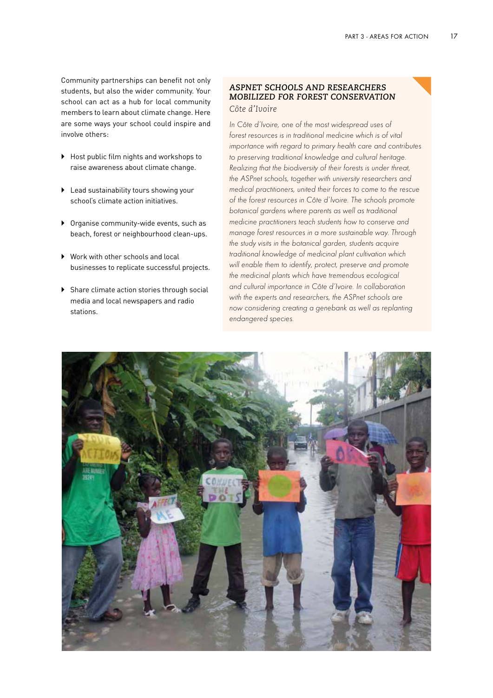Community partnerships can benefit not only students, but also the wider community. Your school can act as a hub for local community members to learn about climate change. Here are some ways your school could inspire and involve others:

- ▶ Host public film nights and workshops to raise awareness about climate change.
- ` Lead sustainability tours showing your school's climate action initiatives.
- $\triangleright$  Organise community-wide events, such as beach, forest or neighbourhood clean-ups.
- ▶ Work with other schools and local businesses to replicate successful projects.
- $\triangleright$  Share climate action stories through social media and local newspapers and radio stations.

#### *ASPNET SCHOOLS AND RESEARCHERS MOBILIZED FOR FOREST CONSERVATION Côte d'Ivoire*

*In Côte d'Ivoire, one of the most widespread uses of forest resources is in traditional medicine which is of vital importance with regard to primary health care and contributes to preserving traditional knowledge and cultural heritage. Realizing that the biodiversity of their forests is under threat, the ASPnet schools, together with university researchers and medical practitioners, united their forces to come to the rescue of the forest resources in Côte d'Ivoire. The schools promote botanical gardens where parents as well as traditional medicine practitioners teach students how to conserve and manage forest resources in a more sustainable way. Through the study visits in the botanical garden, students acquire traditional knowledge of medicinal plant cultivation which will enable them to identify, protect, preserve and promote the medicinal plants which have tremendous ecological and cultural importance in Côte d'Ivoire. In collaboration with the experts and researchers, the ASPnet schools are now considering creating a genebank as well as replanting endangered species.*

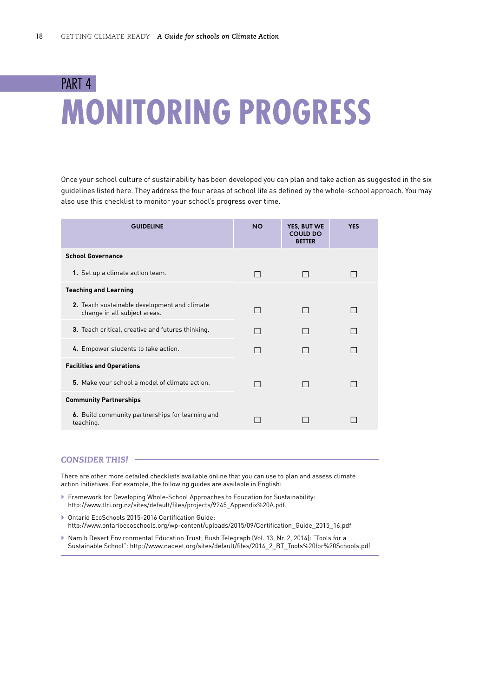# <span id="page-19-0"></span>PART 4 **MONITORING PROGRESS**

Once your school culture of sustainability has been developed you can plan and take action as suggested in the six guidelines listed here. They address the four areas of school life as defined by the whole-school approach. You may also use this checklist to monitor your school's progress over time.

| <b>GUIDELINE</b>                                                             | <b>NO</b>    | YES, BUT WE<br><b>COULD DO</b><br><b>BETTER</b> | <b>YES</b> |  |
|------------------------------------------------------------------------------|--------------|-------------------------------------------------|------------|--|
| <b>School Governance</b>                                                     |              |                                                 |            |  |
| 1. Set up a climate action team.                                             | I I          |                                                 |            |  |
| <b>Teaching and Learning</b>                                                 |              |                                                 |            |  |
| 2. Teach sustainable development and climate<br>change in all subject areas. | П            |                                                 |            |  |
| <b>3.</b> Teach critical, creative and futures thinking.                     |              | $\mathbf{I}$                                    |            |  |
| 4. Empower students to take action.                                          | $\mathsf{L}$ |                                                 |            |  |
| <b>Facilities and Operations</b>                                             |              |                                                 |            |  |
| 5. Make your school a model of climate action.                               | П            | $\mathsf{L}$                                    |            |  |
| <b>Community Partnerships</b>                                                |              |                                                 |            |  |
| 6. Build community partnerships for learning and<br>teaching.                |              |                                                 |            |  |

#### *CONSIDER THIS!*

There are other more detailed checklists available online that you can use to plan and assess climate action initiatives. For example, the following guides are available in English:

- ` Framework for Developing Whole-School Approaches to Education for Sustainability: [http://www.tlri.org.nz/sites/default/files/projects/9245\\_Appendix%20A.pdf.](http://www.tlri.org.nz/sites/default/files/projects/9245_Appendix%20A.pdf)
- ` Ontario EcoSchools 2015-2016 Certification Guide: [http://www.ontarioecoschools.org/wp-content/uploads/2015/09/Certification\\_Guide\\_2015\\_16.pdf](http://www.ontarioecoschools.org/wp-content/uploads/2015/09/Certification_Guide_2015_16.pdf)
- ` Namib Desert Environmental Education Trust; Bush Telegraph (Vol. 13, Nr. 2, 2014): "Tools for a Sustainable School": [http://www.nadeet.org/sites/default/files/2014\\_2\\_BT\\_Tools%20for%20Schools.pdf](http://www.nadeet.org/sites/default/files/2014_2_BT_Tools%20for%20Schools.pdf)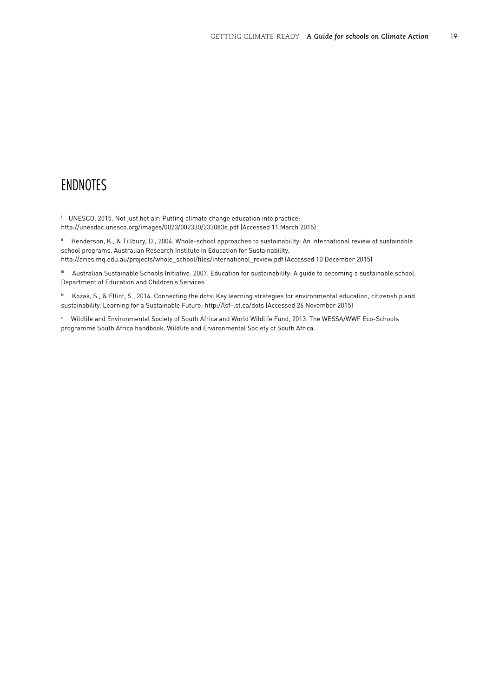## <span id="page-20-0"></span>ENDNOTES

i UNESCO, 2015. Not just hot air: Putting climate change education into practice: <http://unesdoc.unesco.org/images/0023/002330/233083e.pdf> (Accessed 11 March 2015)

ii Henderson, K., & Tillbury, D., 2004. Whole-school approaches to sustainability: An international review of sustainable school programs. Australian Research Institute in Education for Sustainability. [http://aries.mq.edu.au/projects/whole\\_school/files/international\\_review.pdf](http://aries.mq.edu.au/projects/whole_school/files/international_review.pdf) (Accessed 10 December 2015)

iii Australian Sustainable Schools Initiative. 2007. Education for sustainability: A guide to becoming a sustainable school. Department of Education and Children's Services.

iv Kozak, S., & Elliot, S., 2014. Connecting the dots: Key learning strategies for environmental education, citizenship and sustainability. Learning for a Sustainable Future: <http://lsf-lst.ca/dots> (Accessed 26 November 2015)

v Wildlife and Environmental Society of South Africa and World Wildlife Fund, 2013. The WESSA/WWF Eco-Schools programme South Africa handbook. Wildlife and Environmental Society of South Africa.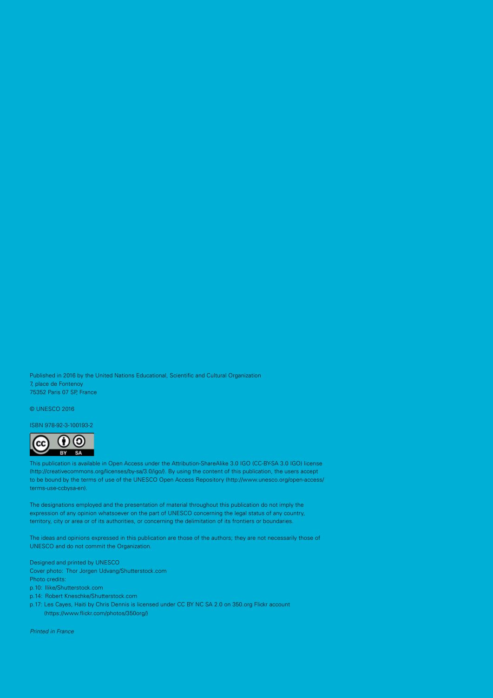Published in 2016 by the United Nations Educational, Scientific and Cultural Organization 7, place de Fontenoy 75352 Paris 07 SP, France

© UNESCO 2016

ISBN 978-92-3-100193-2



This publication is available in Open Access under the Attribution-ShareAlike 3.0 IGO (CC-BY-SA 3.0 IGO) license (<http://creativecommons.org/licenses/by-sa/3.0/igo>/). By using the content of this publication, the users accept to be bound by the terms of use of the UNESCO Open Access Repository ([http://www.unesco.org/open-access/](http://www.unesco.org/open-access/terms-use-ccbysa-en) [terms-use-ccbysa-en\)](http://www.unesco.org/open-access/terms-use-ccbysa-en).

The designations employed and the presentation of material throughout this publication do not imply the expression of any opinion whatsoever on the part of UNESCO concerning the legal status of any country, territory, city or area or of its authorities, or concerning the delimitation of its frontiers or boundaries.

The ideas and opinions expressed in this publication are those of the authors; they are not necessarily those of UNESCO and do not commit the Organization.

Designed and printed by UNESCO Cover photo: Thor Jorgen Udvang/[Shutterstock.com](http://shutterstock.com/) Photo credits: p.10: Ilike/[Shutterstock.com](https://www.shutterstock.com/)

p.14: Robert Kneschke[/Shutterstock.com](https://www.shutterstock.com/)

p.17: [Les Cayes, Haiti](https://www.flickr.com/photos/350org/7145910511/in/photolist-bTsEeD-bBt9qy) by Chris Dennis is licensed under [CC BY NC SA 2.0](https://creativecommons.org/licenses/by-nc-sa/2.0/) on [350.org](https://350.org/) Flickr account [\(https://www.flickr.com/photos/350org/\)](https://www.flickr.com/photos/350org/)

*Printed in France*